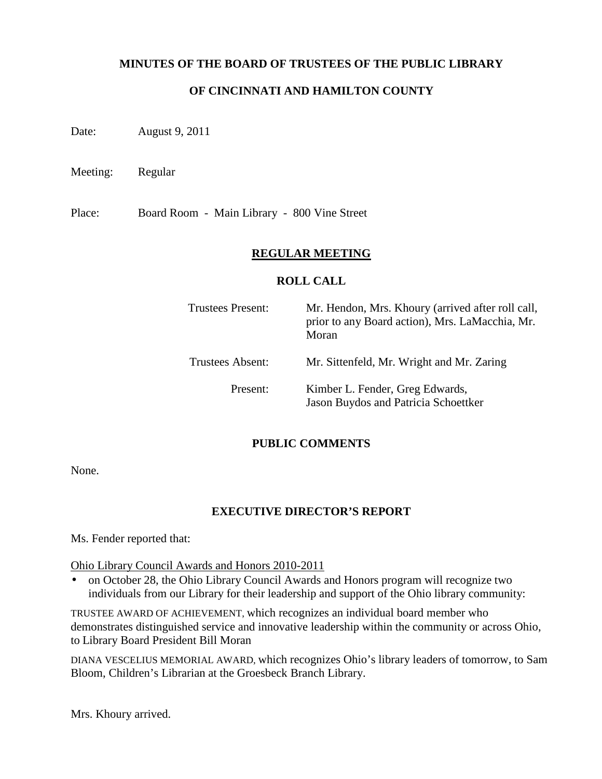#### **MINUTES OF THE BOARD OF TRUSTEES OF THE PUBLIC LIBRARY**

## **OF CINCINNATI AND HAMILTON COUNTY**

Date: August 9, 2011

Meeting: Regular

Place: Board Room - Main Library - 800 Vine Street

### **REGULAR MEETING**

### **ROLL CALL**

| <b>Trustees Present:</b> | Mr. Hendon, Mrs. Khoury (arrived after roll call,<br>prior to any Board action), Mrs. LaMacchia, Mr.<br>Moran |
|--------------------------|---------------------------------------------------------------------------------------------------------------|
| <b>Trustees Absent:</b>  | Mr. Sittenfeld, Mr. Wright and Mr. Zaring                                                                     |
| Present:                 | Kimber L. Fender, Greg Edwards,<br>Jason Buydos and Patricia Schoettker                                       |

#### **PUBLIC COMMENTS**

None.

## **EXECUTIVE DIRECTOR'S REPORT**

Ms. Fender reported that:

Ohio Library Council Awards and Honors 2010-2011

• on October 28, the Ohio Library Council Awards and Honors program will recognize two individuals from our Library for their leadership and support of the Ohio library community:

TRUSTEE AWARD OF ACHIEVEMENT, which recognizes an individual board member who demonstrates distinguished service and innovative leadership within the community or across Ohio, to Library Board President Bill Moran

DIANA VESCELIUS MEMORIAL AWARD, which recognizes Ohio's library leaders of tomorrow, to Sam Bloom, Children's Librarian at the Groesbeck Branch Library.

Mrs. Khoury arrived.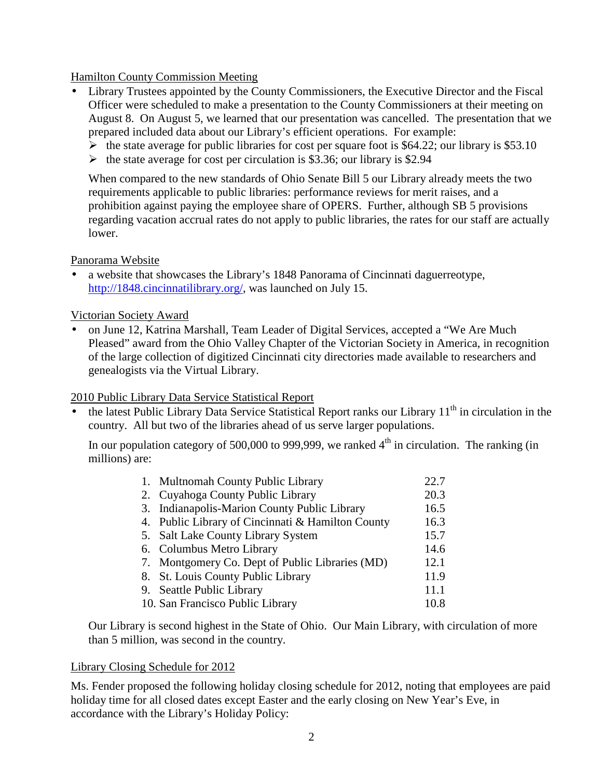### Hamilton County Commission Meeting

- Library Trustees appointed by the County Commissioners, the Executive Director and the Fiscal Officer were scheduled to make a presentation to the County Commissioners at their meeting on August 8. On August 5, we learned that our presentation was cancelled. The presentation that we prepared included data about our Library's efficient operations. For example:
	- $\blacktriangleright$  the state average for public libraries for cost per square foot is \$64.22; our library is \$53.10
	- $\blacktriangleright$  the state average for cost per circulation is \$3.36; our library is \$2.94

When compared to the new standards of Ohio Senate Bill 5 our Library already meets the two requirements applicable to public libraries: performance reviews for merit raises, and a prohibition against paying the employee share of OPERS. Further, although SB 5 provisions regarding vacation accrual rates do not apply to public libraries, the rates for our staff are actually lower.

#### Panorama Website

• a website that showcases the Library's 1848 Panorama of Cincinnati daguerreotype, http://1848.cincinnatilibrary.org/, was launched on July 15.

#### Victorian Society Award

• on June 12, Katrina Marshall, Team Leader of Digital Services, accepted a "We Are Much Pleased" award from the Ohio Valley Chapter of the Victorian Society in America, in recognition of the large collection of digitized Cincinnati city directories made available to researchers and genealogists via the Virtual Library.

#### 2010 Public Library Data Service Statistical Report

the latest Public Library Data Service Statistical Report ranks our Library 11<sup>th</sup> in circulation in the country. All but two of the libraries ahead of us serve larger populations.

In our population category of 500,000 to 999,999, we ranked  $4<sup>th</sup>$  in circulation. The ranking (in millions) are:

|    | 1. Multnomah County Public Library                | 22.7 |
|----|---------------------------------------------------|------|
|    | 2. Cuyahoga County Public Library                 | 20.3 |
|    | 3. Indianapolis-Marion County Public Library      | 16.5 |
|    | 4. Public Library of Cincinnati & Hamilton County | 16.3 |
|    | 5. Salt Lake County Library System                | 15.7 |
|    | 6. Columbus Metro Library                         | 14.6 |
|    | 7. Montgomery Co. Dept of Public Libraries (MD)   | 12.1 |
| 8. | <b>St. Louis County Public Library</b>            | 11.9 |
|    | 9. Seattle Public Library                         | 11.1 |
|    | 10. San Francisco Public Library                  | 10.8 |

Our Library is second highest in the State of Ohio. Our Main Library, with circulation of more than 5 million, was second in the country.

#### Library Closing Schedule for 2012

Ms. Fender proposed the following holiday closing schedule for 2012, noting that employees are paid holiday time for all closed dates except Easter and the early closing on New Year's Eve, in accordance with the Library's Holiday Policy: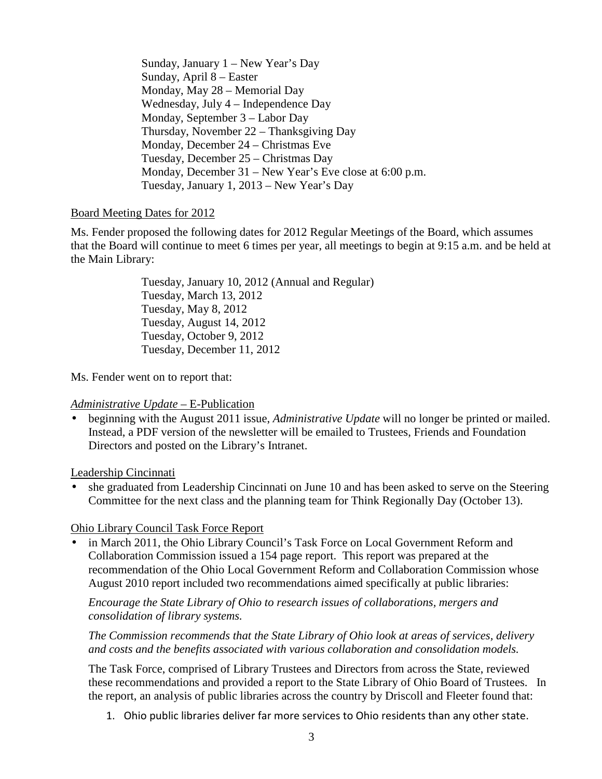Sunday, January 1 – New Year's Day Sunday, April 8 – Easter Monday, May 28 – Memorial Day Wednesday, July 4 – Independence Day Monday, September 3 – Labor Day Thursday, November 22 – Thanksgiving Day Monday, December 24 – Christmas Eve Tuesday, December 25 – Christmas Day Monday, December 31 – New Year's Eve close at 6:00 p.m. Tuesday, January 1, 2013 – New Year's Day

### Board Meeting Dates for 2012

Ms. Fender proposed the following dates for 2012 Regular Meetings of the Board, which assumes that the Board will continue to meet 6 times per year, all meetings to begin at 9:15 a.m. and be held at the Main Library:

> Tuesday, January 10, 2012 (Annual and Regular) Tuesday, March 13, 2012 Tuesday, May 8, 2012 Tuesday, August 14, 2012 Tuesday, October 9, 2012 Tuesday, December 11, 2012

Ms. Fender went on to report that:

#### *Administrative Update* – E-Publication

• beginning with the August 2011 issue, *Administrative Update* will no longer be printed or mailed. Instead, a PDF version of the newsletter will be emailed to Trustees, Friends and Foundation Directors and posted on the Library's Intranet.

Leadership Cincinnati

• she graduated from Leadership Cincinnati on June 10 and has been asked to serve on the Steering Committee for the next class and the planning team for Think Regionally Day (October 13).

Ohio Library Council Task Force Report

• in March 2011, the Ohio Library Council's Task Force on Local Government Reform and Collaboration Commission issued a 154 page report. This report was prepared at the recommendation of the Ohio Local Government Reform and Collaboration Commission whose August 2010 report included two recommendations aimed specifically at public libraries:

*Encourage the State Library of Ohio to research issues of collaborations, mergers and consolidation of library systems.* 

*The Commission recommends that the State Library of Ohio look at areas of services, delivery and costs and the benefits associated with various collaboration and consolidation models.* 

The Task Force, comprised of Library Trustees and Directors from across the State, reviewed these recommendations and provided a report to the State Library of Ohio Board of Trustees. In the report, an analysis of public libraries across the country by Driscoll and Fleeter found that:

1. Ohio public libraries deliver far more services to Ohio residents than any other state.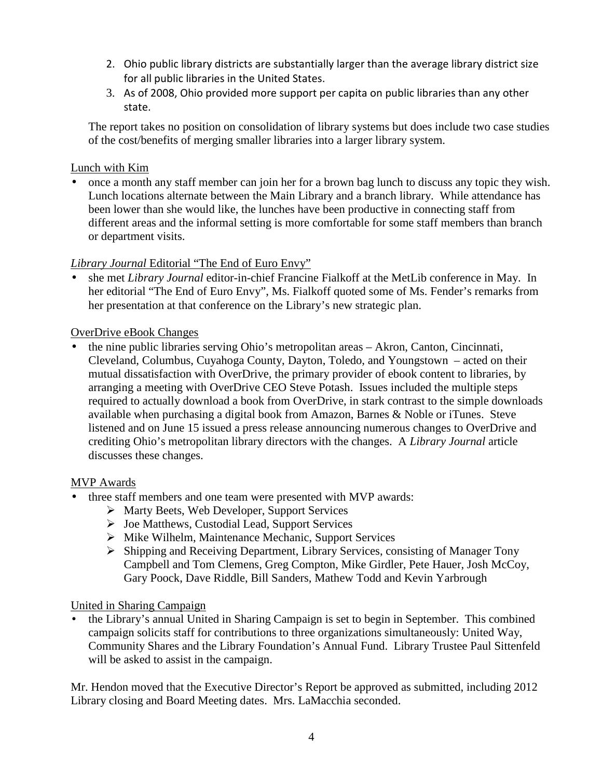- 2. Ohio public library districts are substantially larger than the average library district size for all public libraries in the United States.
- 3. As of 2008, Ohio provided more support per capita on public libraries than any other state.

The report takes no position on consolidation of library systems but does include two case studies of the cost/benefits of merging smaller libraries into a larger library system.

### Lunch with Kim

• once a month any staff member can join her for a brown bag lunch to discuss any topic they wish. Lunch locations alternate between the Main Library and a branch library. While attendance has been lower than she would like, the lunches have been productive in connecting staff from different areas and the informal setting is more comfortable for some staff members than branch or department visits.

## *Library Journal* Editorial "The End of Euro Envy"

• she met *Library Journal* editor-in-chief Francine Fialkoff at the MetLib conference in May. In her editorial "The End of Euro Envy", Ms. Fialkoff quoted some of Ms. Fender's remarks from her presentation at that conference on the Library's new strategic plan.

### OverDrive eBook Changes

• the nine public libraries serving Ohio's metropolitan areas – Akron, Canton, Cincinnati, Cleveland, Columbus, Cuyahoga County, Dayton, Toledo, and Youngstown – acted on their mutual dissatisfaction with OverDrive, the primary provider of ebook content to libraries, by arranging a meeting with OverDrive CEO Steve Potash. Issues included the multiple steps required to actually download a book from OverDrive, in stark contrast to the simple downloads available when purchasing a digital book from Amazon, Barnes & Noble or iTunes. Steve listened and on June 15 issued a press release announcing numerous changes to OverDrive and crediting Ohio's metropolitan library directors with the changes. A *Library Journal* article discusses these changes.

## MVP Awards

- three staff members and one team were presented with MVP awards:
	- $\triangleright$  Marty Beets, Web Developer, Support Services
	- $\triangleright$  Joe Matthews, Custodial Lead, Support Services
	- $\triangleright$  Mike Wilhelm, Maintenance Mechanic, Support Services
	- $\triangleright$  Shipping and Receiving Department, Library Services, consisting of Manager Tony Campbell and Tom Clemens, Greg Compton, Mike Girdler, Pete Hauer, Josh McCoy, Gary Poock, Dave Riddle, Bill Sanders, Mathew Todd and Kevin Yarbrough

#### United in Sharing Campaign

• the Library's annual United in Sharing Campaign is set to begin in September. This combined campaign solicits staff for contributions to three organizations simultaneously: United Way, Community Shares and the Library Foundation's Annual Fund. Library Trustee Paul Sittenfeld will be asked to assist in the campaign.

Mr. Hendon moved that the Executive Director's Report be approved as submitted, including 2012 Library closing and Board Meeting dates. Mrs. LaMacchia seconded.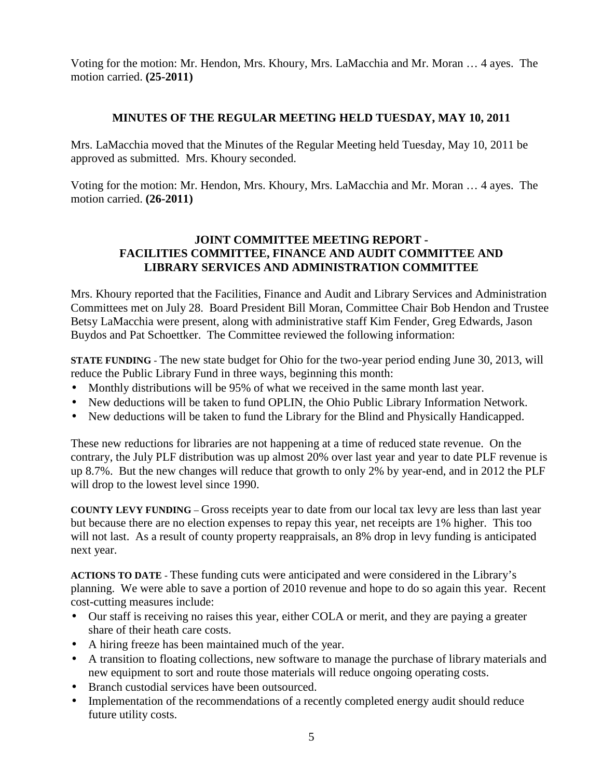Voting for the motion: Mr. Hendon, Mrs. Khoury, Mrs. LaMacchia and Mr. Moran … 4 ayes. The motion carried. **(25-2011)**

### **MINUTES OF THE REGULAR MEETING HELD TUESDAY, MAY 10, 2011**

Mrs. LaMacchia moved that the Minutes of the Regular Meeting held Tuesday, May 10, 2011 be approved as submitted. Mrs. Khoury seconded.

Voting for the motion: Mr. Hendon, Mrs. Khoury, Mrs. LaMacchia and Mr. Moran … 4 ayes. The motion carried. **(26-2011)**

## **JOINT COMMITTEE MEETING REPORT - FACILITIES COMMITTEE, FINANCE AND AUDIT COMMITTEE AND LIBRARY SERVICES AND ADMINISTRATION COMMITTEE**

Mrs. Khoury reported that the Facilities, Finance and Audit and Library Services and Administration Committees met on July 28. Board President Bill Moran, Committee Chair Bob Hendon and Trustee Betsy LaMacchia were present, along with administrative staff Kim Fender, Greg Edwards, Jason Buydos and Pat Schoettker. The Committee reviewed the following information:

**STATE FUNDING** - The new state budget for Ohio for the two-year period ending June 30, 2013, will reduce the Public Library Fund in three ways, beginning this month:

- Monthly distributions will be 95% of what we received in the same month last year.
- New deductions will be taken to fund OPLIN, the Ohio Public Library Information Network.
- New deductions will be taken to fund the Library for the Blind and Physically Handicapped.

These new reductions for libraries are not happening at a time of reduced state revenue. On the contrary, the July PLF distribution was up almost 20% over last year and year to date PLF revenue is up 8.7%. But the new changes will reduce that growth to only 2% by year-end, and in 2012 the PLF will drop to the lowest level since 1990.

**COUNTY LEVY FUNDING** – Gross receipts year to date from our local tax levy are less than last year but because there are no election expenses to repay this year, net receipts are 1% higher. This too will not last. As a result of county property reappraisals, an 8% drop in levy funding is anticipated next year.

**ACTIONS TO DATE** - These funding cuts were anticipated and were considered in the Library's planning. We were able to save a portion of 2010 revenue and hope to do so again this year. Recent cost-cutting measures include:

- Our staff is receiving no raises this year, either COLA or merit, and they are paying a greater share of their heath care costs.
- A hiring freeze has been maintained much of the year.
- A transition to floating collections, new software to manage the purchase of library materials and new equipment to sort and route those materials will reduce ongoing operating costs.
- Branch custodial services have been outsourced.
- Implementation of the recommendations of a recently completed energy audit should reduce future utility costs.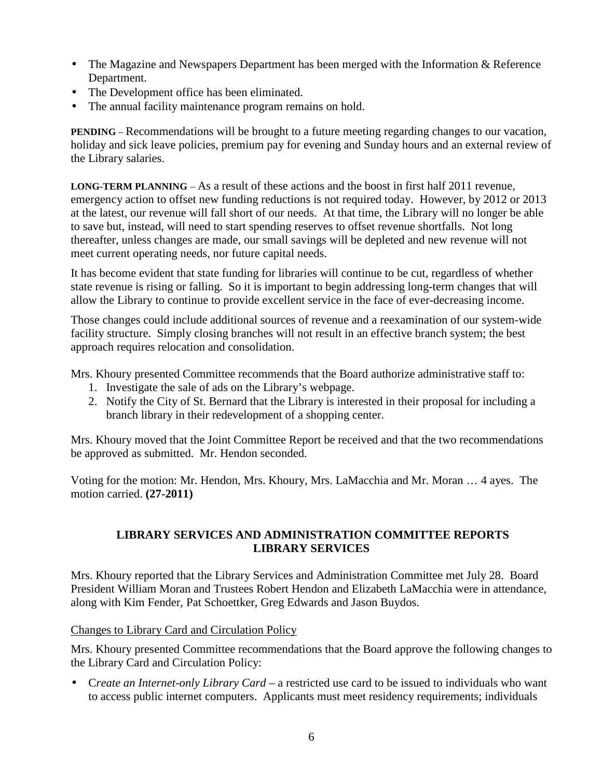- The Magazine and Newspapers Department has been merged with the Information & Reference Department.
- The Development office has been eliminated.
- The annual facility maintenance program remains on hold.

**PENDING** – Recommendations will be brought to a future meeting regarding changes to our vacation, holiday and sick leave policies, premium pay for evening and Sunday hours and an external review of the Library salaries.

**LONG-TERM PLANNING** – As a result of these actions and the boost in first half 2011 revenue, emergency action to offset new funding reductions is not required today. However, by 2012 or 2013 at the latest, our revenue will fall short of our needs. At that time, the Library will no longer be able to save but, instead, will need to start spending reserves to offset revenue shortfalls. Not long thereafter, unless changes are made, our small savings will be depleted and new revenue will not meet current operating needs, nor future capital needs.

It has become evident that state funding for libraries will continue to be cut, regardless of whether state revenue is rising or falling. So it is important to begin addressing long-term changes that will allow the Library to continue to provide excellent service in the face of ever-decreasing income.

Those changes could include additional sources of revenue and a reexamination of our system-wide facility structure. Simply closing branches will not result in an effective branch system; the best approach requires relocation and consolidation.

Mrs. Khoury presented Committee recommends that the Board authorize administrative staff to:

- 1. Investigate the sale of ads on the Library's webpage.
- 2. Notify the City of St. Bernard that the Library is interested in their proposal for including a branch library in their redevelopment of a shopping center.

Mrs. Khoury moved that the Joint Committee Report be received and that the two recommendations be approved as submitted. Mr. Hendon seconded.

Voting for the motion: Mr. Hendon, Mrs. Khoury, Mrs. LaMacchia and Mr. Moran … 4 ayes. The motion carried. **(27-2011)**

## **LIBRARY SERVICES AND ADMINISTRATION COMMITTEE REPORTS LIBRARY SERVICES**

Mrs. Khoury reported that the Library Services and Administration Committee met July 28. Board President William Moran and Trustees Robert Hendon and Elizabeth LaMacchia were in attendance, along with Kim Fender, Pat Schoettker, Greg Edwards and Jason Buydos.

Changes to Library Card and Circulation Policy

Mrs. Khoury presented Committee recommendations that the Board approve the following changes to the Library Card and Circulation Policy:

• C*reate an Internet-only Library Card –* a restricted use card to be issued to individuals who want to access public internet computers. Applicants must meet residency requirements; individuals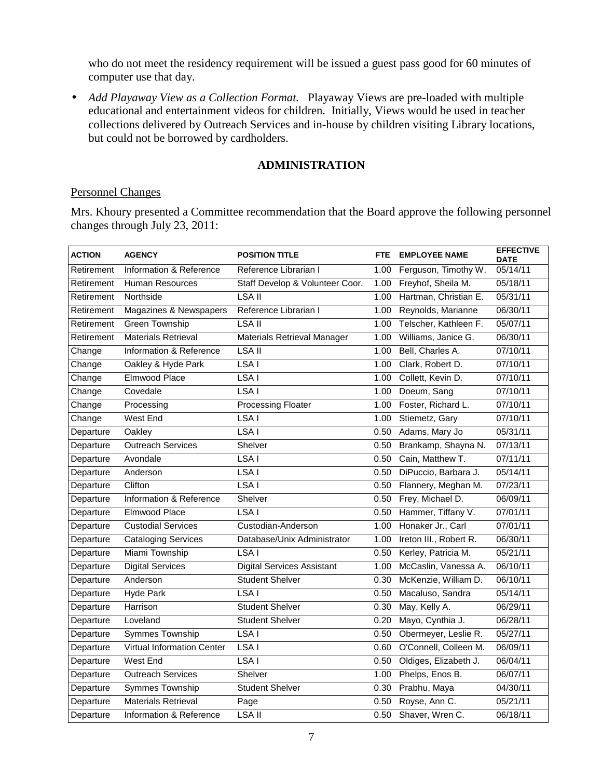who do not meet the residency requirement will be issued a guest pass good for 60 minutes of computer use that day.

• *Add Playaway View as a Collection Format.* Playaway Views are pre-loaded with multiple educational and entertainment videos for children. Initially, Views would be used in teacher collections delivered by Outreach Services and in-house by children visiting Library locations, but could not be borrowed by cardholders.

### **ADMINISTRATION**

#### Personnel Changes

Mrs. Khoury presented a Committee recommendation that the Board approve the following personnel changes through July 23, 2011:

| <b>ACTION</b> | <b>AGENCY</b>                     | <b>POSITION TITLE</b>             | <b>FTE</b>                    | <b>EMPLOYEE NAME</b>   | <b>EFFECTIVE</b><br><b>DATE</b> |
|---------------|-----------------------------------|-----------------------------------|-------------------------------|------------------------|---------------------------------|
| Retirement    | Information & Reference           | Reference Librarian I             | 1.00                          | Ferguson, Timothy W.   | 05/14/11                        |
| Retirement    | <b>Human Resources</b>            | Staff Develop & Volunteer Coor.   | 1.00                          | Freyhof, Sheila M.     | 05/18/11                        |
| Retirement    | Northside                         | <b>LSA II</b>                     | 1.00                          | Hartman, Christian E.  | 05/31/11                        |
| Retirement    | Magazines & Newspapers            | Reference Librarian I             | 1.00                          | Reynolds, Marianne     | 06/30/11                        |
| Retirement    | <b>Green Township</b>             | LSA II                            | 1.00                          | Telscher, Kathleen F.  | 05/07/11                        |
| Retirement    | <b>Materials Retrieval</b>        | Materials Retrieval Manager       | 1.00                          | Williams, Janice G.    | 06/30/11                        |
| Change        | Information & Reference           | LSA II                            | 1.00                          | Bell, Charles A.       | 07/10/11                        |
| Change        | Oakley & Hyde Park                | LSA <sub>I</sub>                  | 1.00                          | Clark, Robert D.       | 07/10/11                        |
| Change        | Elmwood Place                     | LSA <sub>I</sub>                  | 1.00                          | Collett, Kevin D.      | 07/10/11                        |
| Change        | Covedale                          | LSA I                             | 1.00                          | Doeum, Sang            | 07/10/11                        |
| Change        | Processing                        | <b>Processing Floater</b>         | 1.00                          | Foster, Richard L.     | 07/10/11                        |
| Change        | <b>West End</b>                   | LSA <sub>I</sub>                  | 1.00                          | Stiemetz, Gary         | 07/10/11                        |
| Departure     | Oakley                            | LSA <sub>I</sub>                  | 0.50                          | Adams, Mary Jo         | 05/31/11                        |
| Departure     | <b>Outreach Services</b>          | Shelver                           | 0.50                          | Brankamp, Shayna N.    | 07/13/11                        |
| Departure     | Avondale                          | LSA <sub>I</sub>                  | 0.50                          | Cain, Matthew T.       | 07/11/11                        |
| Departure     | Anderson                          | LSA <sub>I</sub>                  | 0.50                          | DiPuccio, Barbara J.   | 05/14/11                        |
| Departure     | Clifton                           | LSA <sub>I</sub>                  | 0.50                          | Flannery, Meghan M.    | 07/23/11                        |
| Departure     | Information & Reference           | Shelver                           | 0.50                          | Frey, Michael D.       | 06/09/11                        |
| Departure     | Elmwood Place                     | LSA <sub>I</sub>                  | 0.50                          | Hammer, Tiffany V.     | 07/01/11                        |
| Departure     | <b>Custodial Services</b>         | Custodian-Anderson                | 1.00                          | Honaker Jr., Carl      | 07/01/11                        |
| Departure     | <b>Cataloging Services</b>        | Database/Unix Administrator       | 1.00                          | Ireton III., Robert R. | 06/30/11                        |
| Departure     | Miami Township                    | LSA I                             | 0.50                          | Kerley, Patricia M.    | 05/21/11                        |
| Departure     | <b>Digital Services</b>           | <b>Digital Services Assistant</b> | 1.00                          | McCaslin, Vanessa A.   | 06/10/11                        |
| Departure     | Anderson                          | <b>Student Shelver</b>            | 0.30                          | McKenzie, William D.   | 06/10/11                        |
| Departure     | <b>Hyde Park</b>                  | LSA <sub>I</sub>                  | 0.50                          | Macaluso, Sandra       | 05/14/11                        |
| Departure     | Harrison                          | <b>Student Shelver</b>            | 0.30                          | May, Kelly A.          | 06/29/11                        |
| Departure     | Loveland                          | <b>Student Shelver</b>            | 0.20                          | Mayo, Cynthia J.       | 06/28/11                        |
| Departure     | Symmes Township                   | LSA <sub>I</sub>                  | 0.50                          | Obermeyer, Leslie R.   | 05/27/11                        |
| Departure     | <b>Virtual Information Center</b> | LSA <sub>I</sub>                  | O'Connell, Colleen M.<br>0.60 |                        | 06/09/11                        |
| Departure     | <b>West End</b>                   | LSA <sub>I</sub>                  | 0.50                          | Oldiges, Elizabeth J.  | 06/04/11                        |
| Departure     | <b>Outreach Services</b>          | Shelver                           | 1.00                          | Phelps, Enos B.        | 06/07/11                        |
| Departure     | <b>Symmes Township</b>            | <b>Student Shelver</b>            | 0.30                          | Prabhu, Maya           | 04/30/11                        |
| Departure     | <b>Materials Retrieval</b>        | Page                              | 0.50                          | Royse, Ann C.          | 05/21/11                        |
| Departure     | Information & Reference           | LSA II                            |                               | 0.50 Shaver, Wren C.   | 06/18/11                        |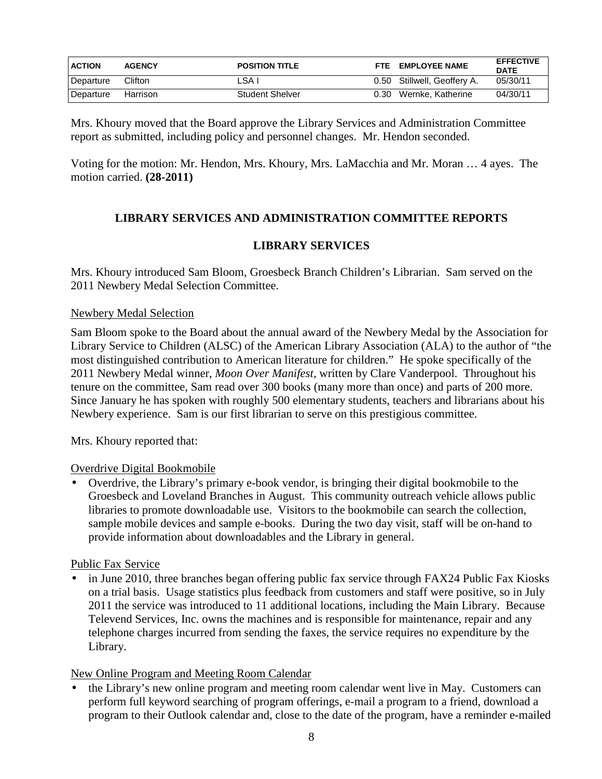| <b>ACTION</b> | <b>AGENCY</b> | <b>POSITION TITLE</b>  | FTF. | <b>EMPLOYEE NAME</b>        | <b>EFFECTIVE</b><br><b>DATE</b> |
|---------------|---------------|------------------------|------|-----------------------------|---------------------------------|
| Departure     | Clifton       | ∟SA                    |      | 0.50 Stillwell, Geoffery A. | 05/30/11                        |
| Departure     | Harrison      | <b>Student Shelver</b> | 0.30 | Wernke, Katherine           | 04/30/11                        |

Mrs. Khoury moved that the Board approve the Library Services and Administration Committee report as submitted, including policy and personnel changes. Mr. Hendon seconded.

Voting for the motion: Mr. Hendon, Mrs. Khoury, Mrs. LaMacchia and Mr. Moran … 4 ayes. The motion carried. **(28-2011)**

# **LIBRARY SERVICES AND ADMINISTRATION COMMITTEE REPORTS**

## **LIBRARY SERVICES**

Mrs. Khoury introduced Sam Bloom, Groesbeck Branch Children's Librarian. Sam served on the 2011 Newbery Medal Selection Committee.

### Newbery Medal Selection

Sam Bloom spoke to the Board about the annual award of the Newbery Medal by the Association for Library Service to Children (ALSC) of the American Library Association (ALA) to the author of "the most distinguished contribution to American literature for children." He spoke specifically of the 2011 Newbery Medal winner, *Moon Over Manifest,* written by Clare Vanderpool. Throughout his tenure on the committee, Sam read over 300 books (many more than once) and parts of 200 more. Since January he has spoken with roughly 500 elementary students, teachers and librarians about his Newbery experience. Sam is our first librarian to serve on this prestigious committee.

Mrs. Khoury reported that:

## Overdrive Digital Bookmobile

• Overdrive, the Library's primary e-book vendor, is bringing their digital bookmobile to the Groesbeck and Loveland Branches in August. This community outreach vehicle allows public libraries to promote downloadable use. Visitors to the bookmobile can search the collection, sample mobile devices and sample e-books. During the two day visit, staff will be on-hand to provide information about downloadables and the Library in general.

## Public Fax Service

in June 2010, three branches began offering public fax service through FAX24 Public Fax Kiosks on a trial basis. Usage statistics plus feedback from customers and staff were positive, so in July 2011 the service was introduced to 11 additional locations, including the Main Library. Because Televend Services, Inc. owns the machines and is responsible for maintenance, repair and any telephone charges incurred from sending the faxes, the service requires no expenditure by the Library.

## New Online Program and Meeting Room Calendar

• the Library's new online program and meeting room calendar went live in May. Customers can perform full keyword searching of program offerings, e-mail a program to a friend, download a program to their Outlook calendar and, close to the date of the program, have a reminder e-mailed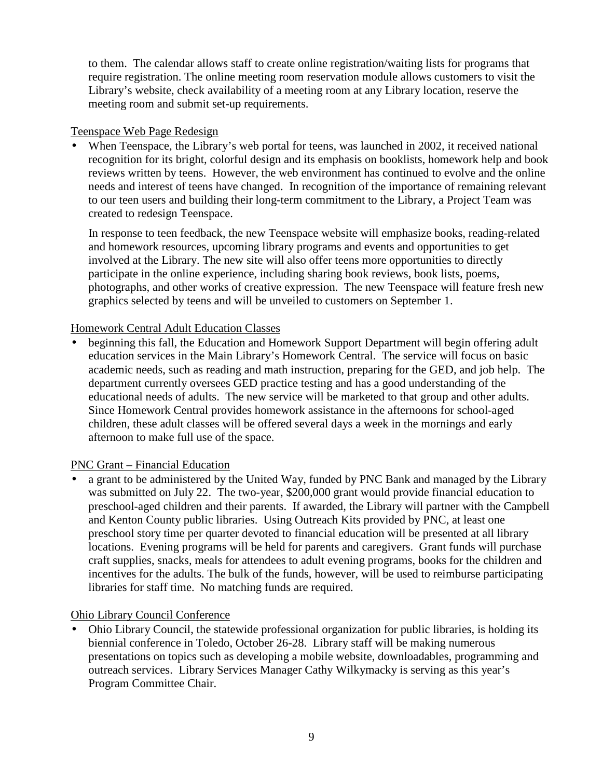to them. The calendar allows staff to create online registration/waiting lists for programs that require registration. The online meeting room reservation module allows customers to visit the Library's website, check availability of a meeting room at any Library location, reserve the meeting room and submit set-up requirements.

### Teenspace Web Page Redesign

When Teenspace, the Library's web portal for teens, was launched in 2002, it received national recognition for its bright, colorful design and its emphasis on booklists, homework help and book reviews written by teens. However, the web environment has continued to evolve and the online needs and interest of teens have changed. In recognition of the importance of remaining relevant to our teen users and building their long-term commitment to the Library, a Project Team was created to redesign Teenspace.

In response to teen feedback, the new Teenspace website will emphasize books, reading-related and homework resources, upcoming library programs and events and opportunities to get involved at the Library. The new site will also offer teens more opportunities to directly participate in the online experience, including sharing book reviews, book lists, poems, photographs, and other works of creative expression. The new Teenspace will feature fresh new graphics selected by teens and will be unveiled to customers on September 1.

## Homework Central Adult Education Classes

beginning this fall, the Education and Homework Support Department will begin offering adult education services in the Main Library's Homework Central. The service will focus on basic academic needs, such as reading and math instruction, preparing for the GED, and job help. The department currently oversees GED practice testing and has a good understanding of the educational needs of adults. The new service will be marketed to that group and other adults. Since Homework Central provides homework assistance in the afternoons for school-aged children, these adult classes will be offered several days a week in the mornings and early afternoon to make full use of the space.

## PNC Grant – Financial Education

• a grant to be administered by the United Way, funded by PNC Bank and managed by the Library was submitted on July 22. The two-year, \$200,000 grant would provide financial education to preschool-aged children and their parents. If awarded, the Library will partner with the Campbell and Kenton County public libraries. Using Outreach Kits provided by PNC, at least one preschool story time per quarter devoted to financial education will be presented at all library locations. Evening programs will be held for parents and caregivers. Grant funds will purchase craft supplies, snacks, meals for attendees to adult evening programs, books for the children and incentives for the adults. The bulk of the funds, however, will be used to reimburse participating libraries for staff time. No matching funds are required.

## Ohio Library Council Conference

• Ohio Library Council, the statewide professional organization for public libraries, is holding its biennial conference in Toledo, October 26-28. Library staff will be making numerous presentations on topics such as developing a mobile website, downloadables, programming and outreach services. Library Services Manager Cathy Wilkymacky is serving as this year's Program Committee Chair.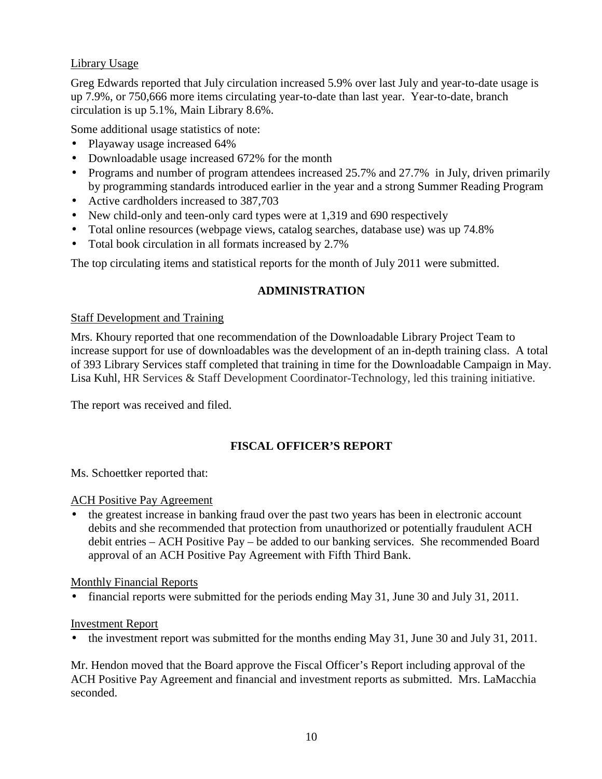# Library Usage

Greg Edwards reported that July circulation increased 5.9% over last July and year-to-date usage is up 7.9%, or 750,666 more items circulating year-to-date than last year. Year-to-date, branch circulation is up 5.1%, Main Library 8.6%.

Some additional usage statistics of note:

- Playaway usage increased 64%
- Downloadable usage increased 672% for the month
- Programs and number of program attendees increased 25.7% and 27.7% in July, driven primarily by programming standards introduced earlier in the year and a strong Summer Reading Program
- Active cardholders increased to 387,703
- New child-only and teen-only card types were at 1,319 and 690 respectively
- Total online resources (webpage views, catalog searches, database use) was up 74.8%
- Total book circulation in all formats increased by 2.7%

The top circulating items and statistical reports for the month of July 2011 were submitted.

# **ADMINISTRATION**

### Staff Development and Training

Mrs. Khoury reported that one recommendation of the Downloadable Library Project Team to increase support for use of downloadables was the development of an in-depth training class. A total of 393 Library Services staff completed that training in time for the Downloadable Campaign in May. Lisa Kuhl, HR Services & Staff Development Coordinator-Technology, led this training initiative.

The report was received and filed.

# **FISCAL OFFICER'S REPORT**

Ms. Schoettker reported that:

#### ACH Positive Pay Agreement

• the greatest increase in banking fraud over the past two years has been in electronic account debits and she recommended that protection from unauthorized or potentially fraudulent ACH debit entries – ACH Positive Pay – be added to our banking services. She recommended Board approval of an ACH Positive Pay Agreement with Fifth Third Bank.

Monthly Financial Reports

• financial reports were submitted for the periods ending May 31, June 30 and July 31, 2011.

## Investment Report

• the investment report was submitted for the months ending May 31, June 30 and July 31, 2011.

Mr. Hendon moved that the Board approve the Fiscal Officer's Report including approval of the ACH Positive Pay Agreement and financial and investment reports as submitted. Mrs. LaMacchia seconded.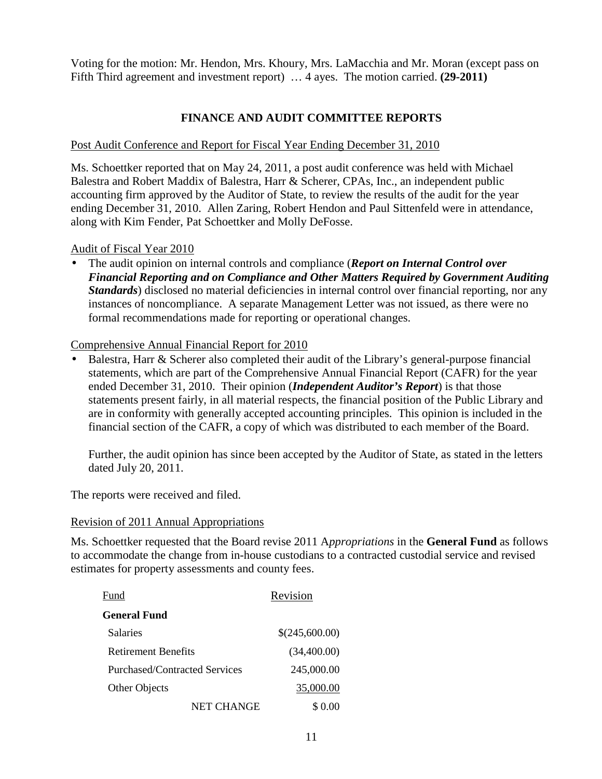Voting for the motion: Mr. Hendon, Mrs. Khoury, Mrs. LaMacchia and Mr. Moran (except pass on Fifth Third agreement and investment report) … 4 ayes. The motion carried. **(29-2011)**

### **FINANCE AND AUDIT COMMITTEE REPORTS**

### Post Audit Conference and Report for Fiscal Year Ending December 31, 2010

Ms. Schoettker reported that on May 24, 2011, a post audit conference was held with Michael Balestra and Robert Maddix of Balestra, Harr & Scherer, CPAs, Inc., an independent public accounting firm approved by the Auditor of State, to review the results of the audit for the year ending December 31, 2010. Allen Zaring, Robert Hendon and Paul Sittenfeld were in attendance, along with Kim Fender, Pat Schoettker and Molly DeFosse.

### Audit of Fiscal Year 2010

• The audit opinion on internal controls and compliance (*Report on Internal Control over Financial Reporting and on Compliance and Other Matters Required by Government Auditing Standards*) disclosed no material deficiencies in internal control over financial reporting, nor any instances of noncompliance. A separate Management Letter was not issued, as there were no formal recommendations made for reporting or operational changes.

### Comprehensive Annual Financial Report for 2010

• Balestra, Harr & Scherer also completed their audit of the Library's general-purpose financial statements, which are part of the Comprehensive Annual Financial Report (CAFR) for the year ended December 31, 2010. Their opinion (*Independent Auditor's Report*) is that those statements present fairly, in all material respects, the financial position of the Public Library and are in conformity with generally accepted accounting principles. This opinion is included in the financial section of the CAFR, a copy of which was distributed to each member of the Board.

Further, the audit opinion has since been accepted by the Auditor of State, as stated in the letters dated July 20, 2011.

The reports were received and filed.

#### Revision of 2011 Annual Appropriations

Ms. Schoettker requested that the Board revise 2011 A*ppropriations* in the **General Fund** as follows to accommodate the change from in-house custodians to a contracted custodial service and revised estimates for property assessments and county fees.

| Fund                          | Revision       |  |
|-------------------------------|----------------|--|
| <b>General Fund</b>           |                |  |
| <b>Salaries</b>               | \$(245,600.00) |  |
| Retirement Benefits           | (34,400.00)    |  |
| Purchased/Contracted Services | 245,000.00     |  |
| Other Objects                 | 35,000.00      |  |
| NET CHANGE                    | \$ 0.00        |  |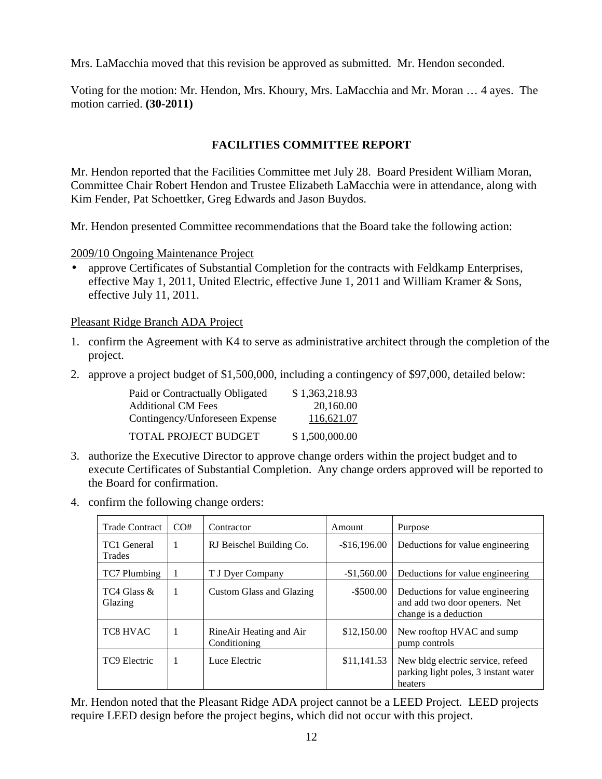Mrs. LaMacchia moved that this revision be approved as submitted. Mr. Hendon seconded.

Voting for the motion: Mr. Hendon, Mrs. Khoury, Mrs. LaMacchia and Mr. Moran … 4 ayes. The motion carried. **(30-2011)**

# **FACILITIES COMMITTEE REPORT**

Mr. Hendon reported that the Facilities Committee met July 28. Board President William Moran, Committee Chair Robert Hendon and Trustee Elizabeth LaMacchia were in attendance, along with Kim Fender, Pat Schoettker, Greg Edwards and Jason Buydos.

Mr. Hendon presented Committee recommendations that the Board take the following action:

2009/10 Ongoing Maintenance Project

• approve Certificates of Substantial Completion for the contracts with Feldkamp Enterprises, effective May 1, 2011, United Electric, effective June 1, 2011 and William Kramer & Sons, effective July 11, 2011.

Pleasant Ridge Branch ADA Project

- 1. confirm the Agreement with K4 to serve as administrative architect through the completion of the project.
- 2. approve a project budget of \$1,500,000, including a contingency of \$97,000, detailed below:

| Paid or Contractually Obligated | \$1,363,218.93 |
|---------------------------------|----------------|
| <b>Additional CM Fees</b>       | 20,160.00      |
| Contingency/Unforeseen Expense  | 116,621.07     |
| TOTAL PROJECT BUDGET            | \$1,500,000.00 |

- 3. authorize the Executive Director to approve change orders within the project budget and to execute Certificates of Substantial Completion. Any change orders approved will be reported to the Board for confirmation.
- 4. confirm the following change orders:

| <b>Trade Contract</b>  | CO# | Contractor                              | Amount        | Purpose                                                                                    |
|------------------------|-----|-----------------------------------------|---------------|--------------------------------------------------------------------------------------------|
| TC1 General<br>Trades  | 1   | RJ Beischel Building Co.                | $-$16,196.00$ | Deductions for value engineering                                                           |
| TC7 Plumbing           |     | T J Dyer Company                        | $-\$1,560.00$ | Deductions for value engineering                                                           |
| TC4 Glass &<br>Glazing | 1   | Custom Glass and Glazing                | $-$ \$500.00  | Deductions for value engineering<br>and add two door openers. Net<br>change is a deduction |
| <b>TC8 HVAC</b>        | 1   | RineAir Heating and Air<br>Conditioning | \$12,150.00   | New rooftop HVAC and sump<br>pump controls                                                 |
| TC9 Electric           | 1   | Luce Electric                           | \$11,141.53   | New bldg electric service, refeed<br>parking light poles, 3 instant water<br>heaters       |

Mr. Hendon noted that the Pleasant Ridge ADA project cannot be a LEED Project. LEED projects require LEED design before the project begins, which did not occur with this project.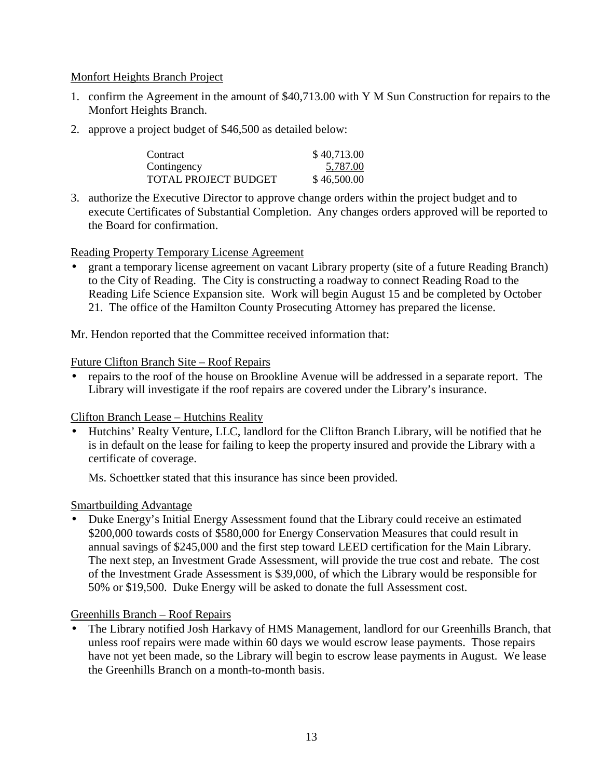### Monfort Heights Branch Project

- 1. confirm the Agreement in the amount of \$40,713.00 with Y M Sun Construction for repairs to the Monfort Heights Branch.
- 2. approve a project budget of \$46,500 as detailed below:

| Contract                    | \$40,713.00 |
|-----------------------------|-------------|
| Contingency                 | 5,787.00    |
| <b>TOTAL PROJECT BUDGET</b> | \$46,500.00 |

3. authorize the Executive Director to approve change orders within the project budget and to execute Certificates of Substantial Completion. Any changes orders approved will be reported to the Board for confirmation.

### Reading Property Temporary License Agreement

• grant a temporary license agreement on vacant Library property (site of a future Reading Branch) to the City of Reading. The City is constructing a roadway to connect Reading Road to the Reading Life Science Expansion site. Work will begin August 15 and be completed by October 21. The office of the Hamilton County Prosecuting Attorney has prepared the license.

Mr. Hendon reported that the Committee received information that:

### Future Clifton Branch Site – Roof Repairs

• repairs to the roof of the house on Brookline Avenue will be addressed in a separate report. The Library will investigate if the roof repairs are covered under the Library's insurance.

#### Clifton Branch Lease – Hutchins Reality

• Hutchins' Realty Venture, LLC, landlord for the Clifton Branch Library, will be notified that he is in default on the lease for failing to keep the property insured and provide the Library with a certificate of coverage.

Ms. Schoettker stated that this insurance has since been provided.

## Smartbuilding Advantage

• Duke Energy's Initial Energy Assessment found that the Library could receive an estimated \$200,000 towards costs of \$580,000 for Energy Conservation Measures that could result in annual savings of \$245,000 and the first step toward LEED certification for the Main Library. The next step, an Investment Grade Assessment, will provide the true cost and rebate. The cost of the Investment Grade Assessment is \$39,000, of which the Library would be responsible for 50% or \$19,500. Duke Energy will be asked to donate the full Assessment cost.

#### Greenhills Branch – Roof Repairs

• The Library notified Josh Harkavy of HMS Management, landlord for our Greenhills Branch, that unless roof repairs were made within 60 days we would escrow lease payments. Those repairs have not yet been made, so the Library will begin to escrow lease payments in August. We lease the Greenhills Branch on a month-to-month basis.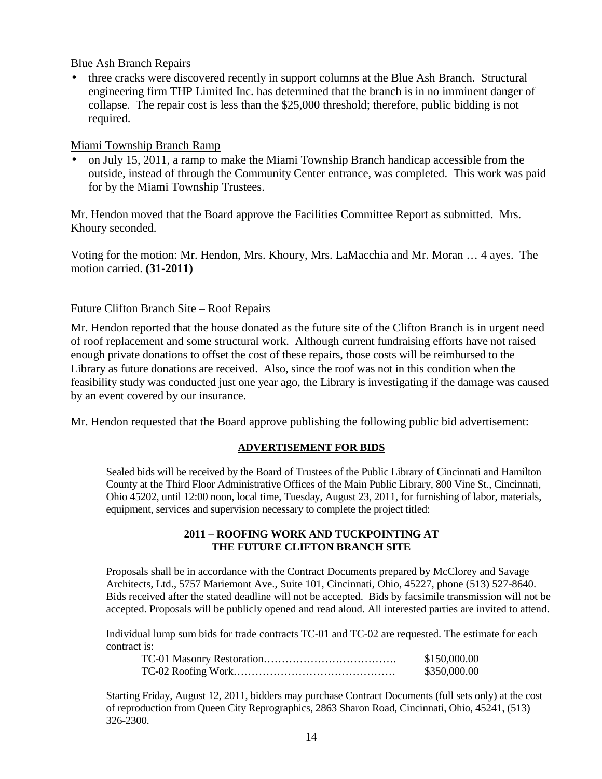Blue Ash Branch Repairs

• three cracks were discovered recently in support columns at the Blue Ash Branch. Structural engineering firm THP Limited Inc. has determined that the branch is in no imminent danger of collapse. The repair cost is less than the \$25,000 threshold; therefore, public bidding is not required.

#### Miami Township Branch Ramp

• on July 15, 2011, a ramp to make the Miami Township Branch handicap accessible from the outside, instead of through the Community Center entrance, was completed. This work was paid for by the Miami Township Trustees.

Mr. Hendon moved that the Board approve the Facilities Committee Report as submitted. Mrs. Khoury seconded.

Voting for the motion: Mr. Hendon, Mrs. Khoury, Mrs. LaMacchia and Mr. Moran … 4 ayes. The motion carried. **(31-2011)**

### Future Clifton Branch Site – Roof Repairs

Mr. Hendon reported that the house donated as the future site of the Clifton Branch is in urgent need of roof replacement and some structural work. Although current fundraising efforts have not raised enough private donations to offset the cost of these repairs, those costs will be reimbursed to the Library as future donations are received. Also, since the roof was not in this condition when the feasibility study was conducted just one year ago, the Library is investigating if the damage was caused by an event covered by our insurance.

Mr. Hendon requested that the Board approve publishing the following public bid advertisement:

#### **ADVERTISEMENT FOR BIDS**

Sealed bids will be received by the Board of Trustees of the Public Library of Cincinnati and Hamilton County at the Third Floor Administrative Offices of the Main Public Library, 800 Vine St., Cincinnati, Ohio 45202, until 12:00 noon, local time, Tuesday, August 23, 2011, for furnishing of labor, materials, equipment, services and supervision necessary to complete the project titled:

#### **2011 – ROOFING WORK AND TUCKPOINTING AT THE FUTURE CLIFTON BRANCH SITE**

Proposals shall be in accordance with the Contract Documents prepared by McClorey and Savage Architects, Ltd., 5757 Mariemont Ave., Suite 101, Cincinnati, Ohio, 45227, phone (513) 527-8640. Bids received after the stated deadline will not be accepted. Bids by facsimile transmission will not be accepted. Proposals will be publicly opened and read aloud. All interested parties are invited to attend.

Individual lump sum bids for trade contracts TC-01 and TC-02 are requested. The estimate for each contract is:

| \$150,000.00 |
|--------------|
| \$350,000.00 |

Starting Friday, August 12, 2011, bidders may purchase Contract Documents (full sets only) at the cost of reproduction from Queen City Reprographics, 2863 Sharon Road, Cincinnati, Ohio, 45241, (513) 326-2300.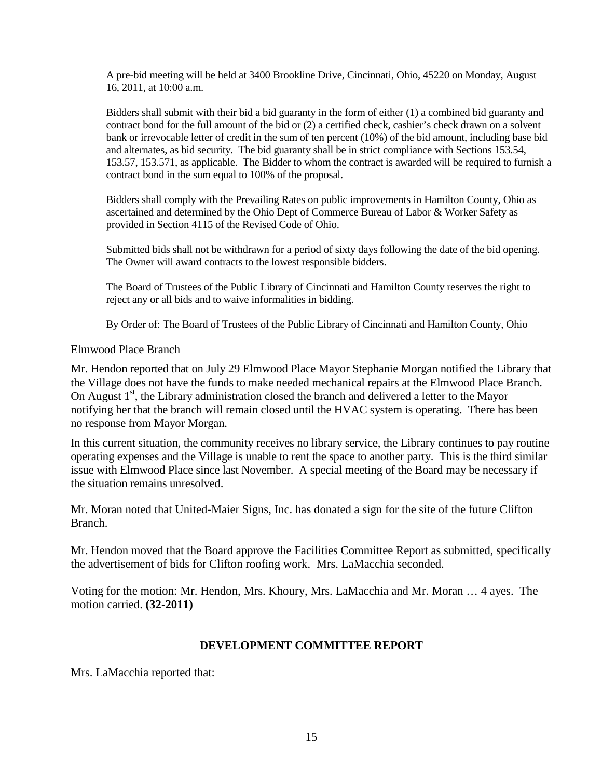A pre-bid meeting will be held at 3400 Brookline Drive, Cincinnati, Ohio, 45220 on Monday, August 16, 2011, at 10:00 a.m.

Bidders shall submit with their bid a bid guaranty in the form of either (1) a combined bid guaranty and contract bond for the full amount of the bid or (2) a certified check, cashier's check drawn on a solvent bank or irrevocable letter of credit in the sum of ten percent (10%) of the bid amount, including base bid and alternates, as bid security. The bid guaranty shall be in strict compliance with Sections 153.54, 153.57, 153.571, as applicable. The Bidder to whom the contract is awarded will be required to furnish a contract bond in the sum equal to 100% of the proposal.

Bidders shall comply with the Prevailing Rates on public improvements in Hamilton County, Ohio as ascertained and determined by the Ohio Dept of Commerce Bureau of Labor & Worker Safety as provided in Section 4115 of the Revised Code of Ohio.

Submitted bids shall not be withdrawn for a period of sixty days following the date of the bid opening. The Owner will award contracts to the lowest responsible bidders.

The Board of Trustees of the Public Library of Cincinnati and Hamilton County reserves the right to reject any or all bids and to waive informalities in bidding.

By Order of: The Board of Trustees of the Public Library of Cincinnati and Hamilton County, Ohio

#### Elmwood Place Branch

Mr. Hendon reported that on July 29 Elmwood Place Mayor Stephanie Morgan notified the Library that the Village does not have the funds to make needed mechanical repairs at the Elmwood Place Branch. On August  $1<sup>st</sup>$ , the Library administration closed the branch and delivered a letter to the Mayor notifying her that the branch will remain closed until the HVAC system is operating. There has been no response from Mayor Morgan.

In this current situation, the community receives no library service, the Library continues to pay routine operating expenses and the Village is unable to rent the space to another party. This is the third similar issue with Elmwood Place since last November. A special meeting of the Board may be necessary if the situation remains unresolved.

Mr. Moran noted that United-Maier Signs, Inc. has donated a sign for the site of the future Clifton Branch.

Mr. Hendon moved that the Board approve the Facilities Committee Report as submitted, specifically the advertisement of bids for Clifton roofing work. Mrs. LaMacchia seconded.

Voting for the motion: Mr. Hendon, Mrs. Khoury, Mrs. LaMacchia and Mr. Moran … 4 ayes. The motion carried. **(32-2011)**

#### **DEVELOPMENT COMMITTEE REPORT**

Mrs. LaMacchia reported that: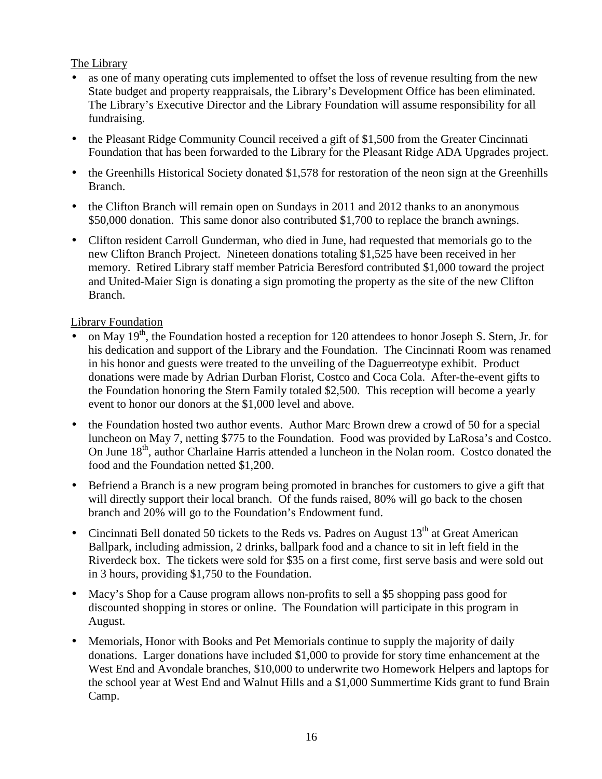## The Library

- as one of many operating cuts implemented to offset the loss of revenue resulting from the new State budget and property reappraisals, the Library's Development Office has been eliminated. The Library's Executive Director and the Library Foundation will assume responsibility for all fundraising.
- the Pleasant Ridge Community Council received a gift of \$1,500 from the Greater Cincinnati Foundation that has been forwarded to the Library for the Pleasant Ridge ADA Upgrades project.
- the Greenhills Historical Society donated \$1,578 for restoration of the neon sign at the Greenhills Branch.
- the Clifton Branch will remain open on Sundays in 2011 and 2012 thanks to an anonymous \$50,000 donation. This same donor also contributed \$1,700 to replace the branch awnings.
- Clifton resident Carroll Gunderman, who died in June, had requested that memorials go to the new Clifton Branch Project. Nineteen donations totaling \$1,525 have been received in her memory. Retired Library staff member Patricia Beresford contributed \$1,000 toward the project and United-Maier Sign is donating a sign promoting the property as the site of the new Clifton Branch.

## Library Foundation

- on May 19<sup>th</sup>, the Foundation hosted a reception for 120 attendees to honor Joseph S. Stern, Jr. for his dedication and support of the Library and the Foundation. The Cincinnati Room was renamed in his honor and guests were treated to the unveiling of the Daguerreotype exhibit. Product donations were made by Adrian Durban Florist, Costco and Coca Cola. After-the-event gifts to the Foundation honoring the Stern Family totaled \$2,500. This reception will become a yearly event to honor our donors at the \$1,000 level and above.
- the Foundation hosted two author events. Author Marc Brown drew a crowd of 50 for a special luncheon on May 7, netting \$775 to the Foundation. Food was provided by LaRosa's and Costco. On June 18<sup>th</sup>, author Charlaine Harris attended a luncheon in the Nolan room. Costco donated the food and the Foundation netted \$1,200.
- Befriend a Branch is a new program being promoted in branches for customers to give a gift that will directly support their local branch. Of the funds raised, 80% will go back to the chosen branch and 20% will go to the Foundation's Endowment fund.
- Cincinnati Bell donated 50 tickets to the Reds vs. Padres on August  $13<sup>th</sup>$  at Great American Ballpark, including admission, 2 drinks, ballpark food and a chance to sit in left field in the Riverdeck box. The tickets were sold for \$35 on a first come, first serve basis and were sold out in 3 hours, providing \$1,750 to the Foundation.
- Macy's Shop for a Cause program allows non-profits to sell a \$5 shopping pass good for discounted shopping in stores or online. The Foundation will participate in this program in August.
- Memorials, Honor with Books and Pet Memorials continue to supply the majority of daily donations. Larger donations have included \$1,000 to provide for story time enhancement at the West End and Avondale branches, \$10,000 to underwrite two Homework Helpers and laptops for the school year at West End and Walnut Hills and a \$1,000 Summertime Kids grant to fund Brain Camp.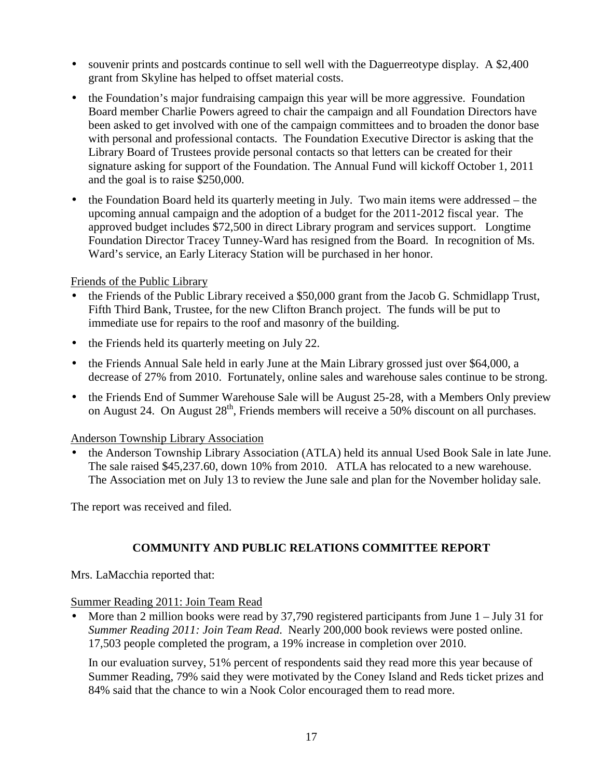- souvenir prints and postcards continue to sell well with the Daguerreotype display. A \$2,400 grant from Skyline has helped to offset material costs.
- the Foundation's major fundraising campaign this year will be more aggressive. Foundation Board member Charlie Powers agreed to chair the campaign and all Foundation Directors have been asked to get involved with one of the campaign committees and to broaden the donor base with personal and professional contacts. The Foundation Executive Director is asking that the Library Board of Trustees provide personal contacts so that letters can be created for their signature asking for support of the Foundation. The Annual Fund will kickoff October 1, 2011 and the goal is to raise \$250,000.
- the Foundation Board held its quarterly meeting in July. Two main items were addressed the upcoming annual campaign and the adoption of a budget for the 2011-2012 fiscal year. The approved budget includes \$72,500 in direct Library program and services support. Longtime Foundation Director Tracey Tunney-Ward has resigned from the Board. In recognition of Ms. Ward's service, an Early Literacy Station will be purchased in her honor.

### Friends of the Public Library

- the Friends of the Public Library received a \$50,000 grant from the Jacob G. Schmidlapp Trust, Fifth Third Bank, Trustee, for the new Clifton Branch project. The funds will be put to immediate use for repairs to the roof and masonry of the building.
- the Friends held its quarterly meeting on July 22.
- the Friends Annual Sale held in early June at the Main Library grossed just over \$64,000, a decrease of 27% from 2010. Fortunately, online sales and warehouse sales continue to be strong.
- the Friends End of Summer Warehouse Sale will be August 25-28, with a Members Only preview on August 24. On August 28<sup>th</sup>, Friends members will receive a 50% discount on all purchases.

## Anderson Township Library Association

• the Anderson Township Library Association (ATLA) held its annual Used Book Sale in late June. The sale raised \$45,237.60, down 10% from 2010. ATLA has relocated to a new warehouse. The Association met on July 13 to review the June sale and plan for the November holiday sale.

The report was received and filed.

## **COMMUNITY AND PUBLIC RELATIONS COMMITTEE REPORT**

Mrs. LaMacchia reported that:

#### Summer Reading 2011: Join Team Read

• More than 2 million books were read by 37,790 registered participants from June 1 – July 31 for *Summer Reading 2011: Join Team Read*. Nearly 200,000 book reviews were posted online. 17,503 people completed the program, a 19% increase in completion over 2010.

In our evaluation survey, 51% percent of respondents said they read more this year because of Summer Reading, 79% said they were motivated by the Coney Island and Reds ticket prizes and 84% said that the chance to win a Nook Color encouraged them to read more.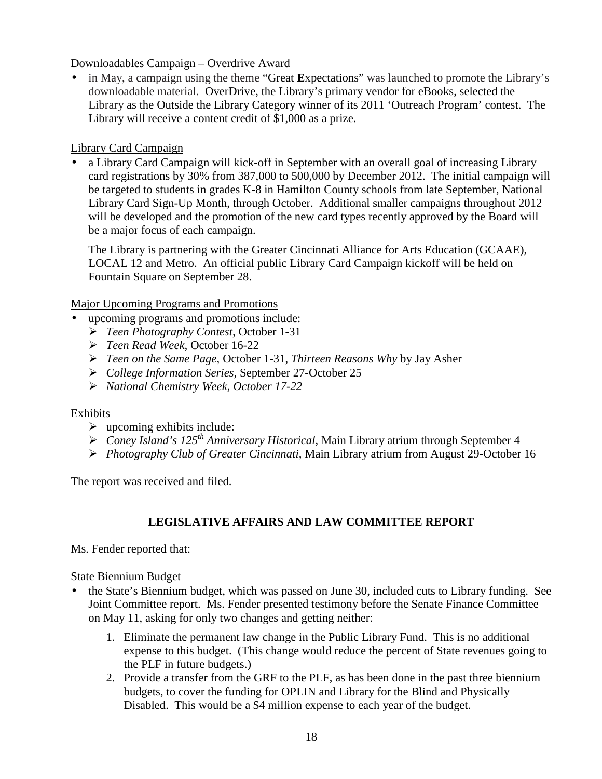### Downloadables Campaign – Overdrive Award

• in May, a campaign using the theme "Great **E**xpectations" was launched to promote the Library's downloadable material. OverDrive, the Library's primary vendor for eBooks, selected the Library as the Outside the Library Category winner of its 2011 'Outreach Program' contest. The Library will receive a content credit of \$1,000 as a prize.

# Library Card Campaign

• a Library Card Campaign will kick-off in September with an overall goal of increasing Library card registrations by 30% from 387,000 to 500,000 by December 2012. The initial campaign will be targeted to students in grades K-8 in Hamilton County schools from late September, National Library Card Sign-Up Month, through October. Additional smaller campaigns throughout 2012 will be developed and the promotion of the new card types recently approved by the Board will be a major focus of each campaign.

The Library is partnering with the Greater Cincinnati Alliance for Arts Education (GCAAE), LOCAL 12 and Metro. An official public Library Card Campaign kickoff will be held on Fountain Square on September 28.

Major Upcoming Programs and Promotions

- upcoming programs and promotions include:
	- *Teen Photography Contest,* October 1-31
	- *Teen Read Week,* October 16-22
	- *Teen on the Same Page,* October 1-31, *Thirteen Reasons Why* by Jay Asher
	- *College Information Series,* September 27-October 25
	- *National Chemistry Week, October 17-22*

## Exhibits

- $\triangleright$  upcoming exhibits include:
- *Coney Island's 125th Anniversary Historical,* Main Library atrium through September 4
- *Photography Club of Greater Cincinnati,* Main Library atrium from August 29-October 16

The report was received and filed.

# **LEGISLATIVE AFFAIRS AND LAW COMMITTEE REPORT**

Ms. Fender reported that:

## State Biennium Budget

- the State's Biennium budget, which was passed on June 30, included cuts to Library funding. See Joint Committee report. Ms. Fender presented testimony before the Senate Finance Committee on May 11, asking for only two changes and getting neither:
	- 1. Eliminate the permanent law change in the Public Library Fund. This is no additional expense to this budget. (This change would reduce the percent of State revenues going to the PLF in future budgets.)
	- 2. Provide a transfer from the GRF to the PLF, as has been done in the past three biennium budgets, to cover the funding for OPLIN and Library for the Blind and Physically Disabled. This would be a \$4 million expense to each year of the budget.